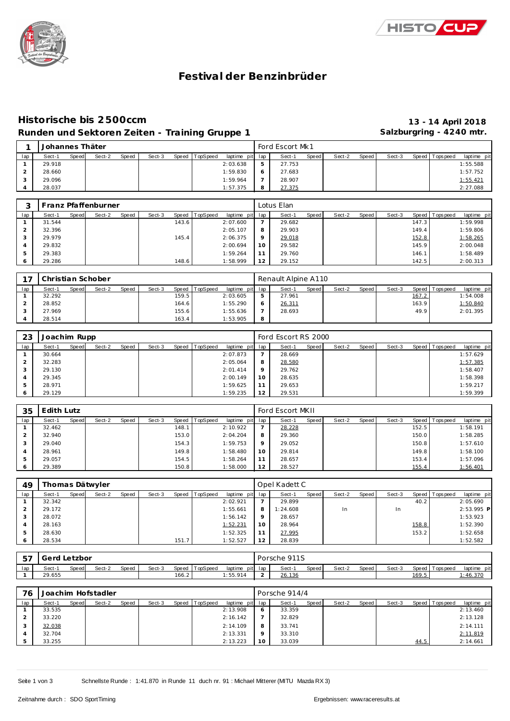



# **Festival der Benzinbrüder**

## **Historische bis 2500ccm 13 - 14 April 2018** Runden und Sektoren Zeiten - Training Gruppe 1 **Salzburgring - 4240 mtr.**

|     | Johannes Thäter |       |        |       |        |       |          |                 |   | Ford Escort Mk1 |       |        |       |        |                 |             |
|-----|-----------------|-------|--------|-------|--------|-------|----------|-----------------|---|-----------------|-------|--------|-------|--------|-----------------|-------------|
| lap | Sect-1          | Speed | Sect-2 | Speed | Sect-3 | Speed | TopSpeed | laptime pit lap |   | Sect-1          | Speed | Sect-2 | Speed | Sect-3 | Speed Tops peed | laptime pit |
|     | 29.918          |       |        |       |        |       |          | 2:03.638        | ь | 27.753          |       |        |       |        |                 | 1:55.588    |
|     | 28.660          |       |        |       |        |       |          | 1:59.830        | O | 27.683          |       |        |       |        |                 | 1:57.752    |
|     | 29.096          |       |        |       |        |       |          | 1:59.964        |   | 28.907          |       |        |       |        |                 | 1:55.421    |
|     | 28.037          |       |        |       |        |       |          | 1:57.375        | 8 | 27.375          |       |        |       |        |                 | 2:27.088    |

|     |        |       | Franz Pfaffenburner |       |        |       |                |                 |         | Lotus Elan |       |        |       |        |       |                |             |
|-----|--------|-------|---------------------|-------|--------|-------|----------------|-----------------|---------|------------|-------|--------|-------|--------|-------|----------------|-------------|
| lap | Sect-1 | Speed | Sect-2              | Speed | Sect-3 |       | Speed TopSpeed | laptime pit lap |         | Sect-1     | Speed | Sect-2 | Speed | Sect-3 |       | Speed Topspeed | laptime pit |
|     | 31.544 |       |                     |       |        | 143.6 |                | 2:07.600        |         | 29.682     |       |        |       |        | 147.3 |                | 1:59.998    |
|     | 32.396 |       |                     |       |        |       |                | 2:05.107        | 8       | 29.903     |       |        |       |        | 149.4 |                | 1:59.806    |
|     | 29.979 |       |                     |       |        | 145.4 |                | 2:06.375        | $\circ$ | 29.018     |       |        |       |        | 152.8 |                | 1:58.265    |
|     | 29.832 |       |                     |       |        |       |                | 2:00.694        | 10      | 29.582     |       |        |       |        | 145.9 |                | 2:00.048    |
|     | 29.383 |       |                     |       |        |       |                | 1:59.264        | 11      | 29.760     |       |        |       |        | 146.1 |                | 1:58.489    |
|     | 29.286 |       |                     |       |        | 148.6 |                | 1:58.999        | 12      | 29.152     |       |        |       |        | 142.5 |                | 2:00.313    |

| $\rightarrow$ |        |              | Christian Schober |       |        |                    |                |                 |   | Renault Alpine A110 |       |        |       |        |       |                 |             |
|---------------|--------|--------------|-------------------|-------|--------|--------------------|----------------|-----------------|---|---------------------|-------|--------|-------|--------|-------|-----------------|-------------|
| lap           | Sect-1 | <b>Speed</b> | Sect-2            | Speed | Sect-3 |                    | Speed TopSpeed | laptime pit lap |   | Sect-1              | Speed | Sect-2 | Speed | Sect-3 |       | Speed Tops peed | laptime pit |
|               | 32.292 |              |                   |       |        | 159.5              |                | 2:03.605        | 5 | 27.961              |       |        |       |        | 167.2 |                 | 1:54.008    |
|               | 28.852 |              |                   |       |        | 164.6              |                | 1:55.290        | O | 26.311              |       |        |       |        | 163.9 |                 | 1:50.840    |
|               | 27.969 |              |                   |       |        | 155.6              |                | 1:55.636        |   | 28.693              |       |        |       |        | 49.9  |                 | 2:01.395    |
|               | 28.514 |              |                   |       |        | 163.4 <sub>1</sub> |                | 1:53.905        | 8 |                     |       |        |       |        |       |                 |             |

| -23     | Joachim Rupp |       |        |       |        |                |                 |         | Ford Escort RS 2000 |       |        |       |        |                 |             |
|---------|--------------|-------|--------|-------|--------|----------------|-----------------|---------|---------------------|-------|--------|-------|--------|-----------------|-------------|
| lap     | Sect-1       | Speed | Sect-2 | Speed | Sect-3 | Speed TopSpeed | laptime pit lap |         | Sect-1              | Speed | Sect-2 | Speed | Sect-3 | Speed Tops peed | laptime pit |
|         | 30.664       |       |        |       |        |                | 2:07.873        |         | 28.669              |       |        |       |        |                 | 1:57.629    |
|         | 32.283       |       |        |       |        |                | 2:05.064        | 8       | 28.580              |       |        |       |        |                 | 1:57.385    |
| 3       | 29.130       |       |        |       |        |                | 2:01.414        | $\circ$ | 29.762              |       |        |       |        |                 | 1:58.407    |
|         | 29.345       |       |        |       |        |                | 2:00.149        | 10      | 28.635              |       |        |       |        |                 | 1:58.398    |
| 5       | 28.971       |       |        |       |        |                | 1:59.625        | 11      | 29.653              |       |        |       |        |                 | 1:59.217    |
| $\circ$ | 29.129       |       |        |       |        |                | 1:59.235        | 12      | 29.531              |       |        |       |        |                 | 1:59.399    |

| 35  | Edith Lutz |       |        |       |        |       |                |                 |         | Ford Escort MKII |       |        |       |        |       |                 |             |
|-----|------------|-------|--------|-------|--------|-------|----------------|-----------------|---------|------------------|-------|--------|-------|--------|-------|-----------------|-------------|
| lap | Sect-1     | Speed | Sect-2 | Speed | Sect-3 |       | Speed TopSpeed | laptime pit lap |         | Sect-1           | Speed | Sect-2 | Speed | Sect-3 |       | Speed Tops peed | laptime pit |
|     | 32.462     |       |        |       |        | 148.1 |                | 2:10.922        |         | 28.228           |       |        |       |        | 152.5 |                 | 1:58.191    |
|     | 32.940     |       |        |       |        | 153.0 |                | 2:04.204        | 8       | 29.360           |       |        |       |        | 150.0 |                 | 1:58.285    |
|     | 29.040     |       |        |       |        | 154.3 |                | 1:59.753        | $\circ$ | 29.052           |       |        |       |        | 150.8 |                 | 1:57.610    |
|     | 28.961     |       |        |       |        | 149.8 |                | 1:58.480        | 10      | 29.814           |       |        |       |        | 149.8 |                 | 1:58.100    |
|     | 29.057     |       |        |       |        | 154.5 |                | 1:58.264        | 11      | 28.657           |       |        |       |        | 153.4 |                 | 1:57.096    |
|     | 29.389     |       |        |       |        | 150.8 |                | 1:58.000        | 12      | 28.527           |       |        |       |        | 155.4 |                 | 1:56.401    |

| 49  |        |       | Thomas Dätwyler |       |        |                    |                |                 |         | Opel Kadett C |       |        |       |        |       |                |             |
|-----|--------|-------|-----------------|-------|--------|--------------------|----------------|-----------------|---------|---------------|-------|--------|-------|--------|-------|----------------|-------------|
| lap | Sect-1 | Speed | Sect-2          | Speed | Sect-3 |                    | Speed TopSpeed | laptime pit lap |         | Sect-1        | Speed | Sect-2 | Speed | Sect-3 |       | Speed Topspeed | laptime pit |
|     | 32.342 |       |                 |       |        |                    |                | 2:02.921        |         | 29.899        |       |        |       |        | 40.2  |                | 2:05.690    |
|     | 29.172 |       |                 |       |        |                    |                | 1:55.661        | 8       | 1:24.608      |       | In     |       | In     |       |                | 2:53.995 P  |
|     | 28.072 |       |                 |       |        |                    |                | 1:56.142        | $\circ$ | 28.657        |       |        |       |        |       |                | 1:53.923    |
|     | 28.163 |       |                 |       |        |                    |                | 1:52.231        | 10      | 28.964        |       |        |       |        | 158.8 |                | 1:52.390    |
| 5   | 28.630 |       |                 |       |        |                    |                | 1:52.325        |         | 27.995        |       |        |       |        | 153.2 |                | 1:52.658    |
|     | 28.534 |       |                 |       |        | 151.7 <sub>1</sub> |                | 1:52.527        | 12      | 28.839        |       |        |       |        |       |                | 1:52.582    |

| トロマ | Gerd Letzbor |       |        |       |        |       |                |             |     | Porsche 911S |       |        |       |        |       |                   |             |  |
|-----|--------------|-------|--------|-------|--------|-------|----------------|-------------|-----|--------------|-------|--------|-------|--------|-------|-------------------|-------------|--|
| lap | Sect-        | Speed | Sect-2 | Speed | Sect-3 |       | Speed TopSpeed | laptime pit | lap | Sect-1       | Speed | Sect-2 | Speed | Sect-3 |       | Speed   Tops peed | laptime pit |  |
|     | 29.655       |       |        |       |        | 166.2 |                | : 55.914    | ∸   | 26.136       |       |        |       |        | 169.5 |                   | : 46.370    |  |

| 76  |        |       | Joachim Hofstadler |       |        |                |                 |              | Porsche 914/4 |       |        |       |        |      |                 |             |
|-----|--------|-------|--------------------|-------|--------|----------------|-----------------|--------------|---------------|-------|--------|-------|--------|------|-----------------|-------------|
| lap | Sect-1 | Speed | Sect-2             | Speed | Sect-3 | Speed TopSpeed | laptime pit lap |              | Sect-1        | Speed | Sect-2 | Speed | Sect-3 |      | Speed Tops peed | laptime pit |
|     | 33.535 |       |                    |       |        |                | 2:13.908        | <sup>6</sup> | 33.359        |       |        |       |        |      |                 | 2:13.460    |
|     | 33.220 |       |                    |       |        |                | 2:16.142        |              | 32.829        |       |        |       |        |      |                 | 2:13.128    |
|     | 32.038 |       |                    |       |        |                | 2:14.109        | 8            | 33.741        |       |        |       |        |      |                 | 2:14.111    |
|     | 32.704 |       |                    |       |        |                | 2:13.331        | $\circ$      | 33.310        |       |        |       |        |      |                 | 2:11.819    |
|     | 33.255 |       |                    |       |        |                | 2:13.223        | 10           | 33.039        |       |        |       |        | 44.5 |                 | 2:14.661    |

Seite 1 von 3 Schnellste Runde : 1:41.870 in Runde 11 duch nr. 91 : Michael Mitterer (MITU Mazda RX 3)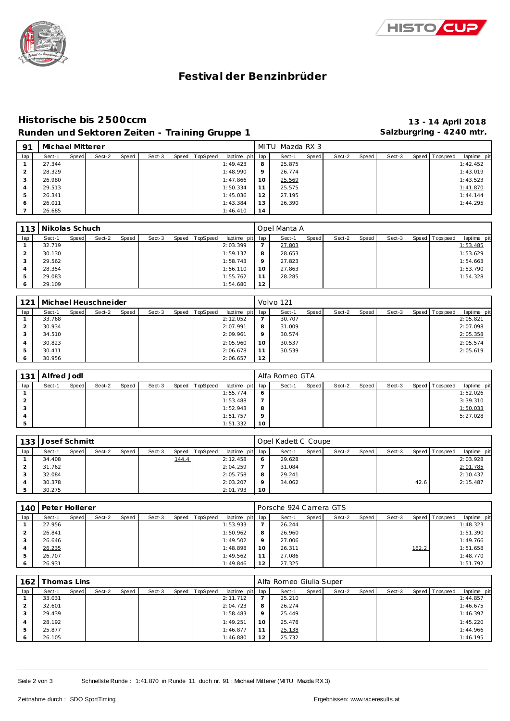



## **Festival der Benzinbrüder**

## **Historische bis 2500ccm 13 - 14 April 2018** Runden und Sektoren Zeiten - Training Gruppe 1 **Salzburgring - 4240 mtr.**

| -91 | Michael Mitterer |       |        |       |        |       |          |                 |    | MITU Mazda RX 3 |       |        |       |        |                   |             |
|-----|------------------|-------|--------|-------|--------|-------|----------|-----------------|----|-----------------|-------|--------|-------|--------|-------------------|-------------|
| lap | Sect-1           | Speed | Sect-2 | Speed | Sect-3 | Speed | TopSpeed | laptime pit lap |    | Sect-1          | Speed | Sect-2 | Speed | Sect-3 | Speed   Tops peed | laptime pit |
|     | 27.344           |       |        |       |        |       |          | 1:49.423        | 8  | 25.875          |       |        |       |        |                   | 1:42.452    |
|     | 28.329           |       |        |       |        |       |          | 1:48.990        | 9  | 26.774          |       |        |       |        |                   | 1:43.019    |
| 3   | 26.980           |       |        |       |        |       |          | 1:47.866        | 10 | 25.569          |       |        |       |        |                   | 1:43.523    |
| 4   | 29.513           |       |        |       |        |       |          | 1:50.334        | 11 | 25.575          |       |        |       |        |                   | 1:41.870    |
| 5   | 26.341           |       |        |       |        |       |          | 1:45.036        | 12 | 27.195          |       |        |       |        |                   | 1:44.144    |
| O   | 26.011           |       |        |       |        |       |          | 1:43.384        | 13 | 26.390          |       |        |       |        |                   | 1:44.295    |
|     | 26.685           |       |        |       |        |       |          | 1:46.410        | 14 |                 |       |        |       |        |                   |             |

|               | 113   Nikolas Schuch |       |        |       |        |                |                 |    | Opel Manta A |       |        |       |        |                 |             |
|---------------|----------------------|-------|--------|-------|--------|----------------|-----------------|----|--------------|-------|--------|-------|--------|-----------------|-------------|
| lap           | Sect-1               | Speed | Sect-2 | Speed | Sect-3 | Speed TopSpeed | laptime pit lap |    | Sect-1       | Speed | Sect-2 | Speed | Sect-3 | Speed Tops peed | laptime pit |
|               | 32.719               |       |        |       |        |                | 2:03.399        |    | 27.803       |       |        |       |        |                 | 1:53.485    |
|               | 30.130               |       |        |       |        |                | 1:59.137        | 8  | 28.653       |       |        |       |        |                 | 1:53.629    |
| 3             | 29.562               |       |        |       |        |                | 1:58.743        | 9  | 27.823       |       |        |       |        |                 | 1:54.663    |
|               | 28.354               |       |        |       |        |                | 1:56.110        | 10 | 27.863       |       |        |       |        |                 | 1:53.790    |
| $\mathcal{P}$ | 29.083               |       |        |       |        |                | 1:55.762        | 11 | 28.285       |       |        |       |        |                 | 1:54.328    |
| 6             | 29.109               |       |        |       |        |                | 1:54.680        | 12 |              |       |        |       |        |                 |             |

| 121 |        |       | Michael Heuschneider |       |        |                |                 |         | Volvo 121 |       |        |       |        |                 |             |
|-----|--------|-------|----------------------|-------|--------|----------------|-----------------|---------|-----------|-------|--------|-------|--------|-----------------|-------------|
| lap | Sect-1 | Speed | Sect-2               | Speed | Sect-3 | Speed TopSpeed | laptime pit lap |         | Sect-1    | Speed | Sect-2 | Speed | Sect-3 | Speed Tops peed | laptime pit |
|     | 33.768 |       |                      |       |        |                | 2:12.052        |         | 30.707    |       |        |       |        |                 | 2:05.821    |
|     | 30.934 |       |                      |       |        |                | 2:07.991        | 8       | 31.009    |       |        |       |        |                 | 2:07.098    |
|     | 34.510 |       |                      |       |        |                | 2:09.961        | $\circ$ | 30.574    |       |        |       |        |                 | 2:05.358    |
| 4   | 30.823 |       |                      |       |        |                | 2:05.960        | 10      | 30.537    |       |        |       |        |                 | 2:05.574    |
|     | 30.411 |       |                      |       |        |                | 2:06.678        | 11      | 30.539    |       |        |       |        |                 | 2:05.619    |
|     | 30.956 |       |                      |       |        |                | 2:06.657        | 12      |           |       |        |       |        |                 |             |

|     | 131 Alfred Jodl |       |        |       |        |       |          |                 |         | Alfa Romeo GTA |       |        |       |        |                 |             |
|-----|-----------------|-------|--------|-------|--------|-------|----------|-----------------|---------|----------------|-------|--------|-------|--------|-----------------|-------------|
| lap | Sect-1          | Speed | Sect-2 | Speed | Sect-3 | Speed | TopSpeed | laptime pit lap |         | Sect-1         | Speed | Sect-2 | Speed | Sect-3 | Speed Tops peed | laptime pit |
|     |                 |       |        |       |        |       |          | 1:55.774        | O       |                |       |        |       |        |                 | 1:52.026    |
|     |                 |       |        |       |        |       |          | 1:53.488        |         |                |       |        |       |        |                 | 3:39.310    |
|     |                 |       |        |       |        |       |          | 1:52.943        | 8       |                |       |        |       |        |                 | 1:50.033    |
|     |                 |       |        |       |        |       |          | 1:51.757        | $\circ$ |                |       |        |       |        |                 | 5:27.028    |
|     |                 |       |        |       |        |       |          | 1:51.332        | 10      |                |       |        |       |        |                 |             |

| 133 | Josef Schmitt |       |        |       |        |       |          |                 |         | Opel Kadett C Coupe |       |        |       |        |      |                 |             |
|-----|---------------|-------|--------|-------|--------|-------|----------|-----------------|---------|---------------------|-------|--------|-------|--------|------|-----------------|-------------|
| lap | Sect-1        | Speed | Sect-2 | Speed | Sect-3 | Speed | TopSpeed | laptime pit lap |         | Sect-1              | Speed | Sect-2 | Speed | Sect-3 |      | Speed Tops peed | laptime pit |
|     | 34.408        |       |        |       |        | 144.4 |          | 2:12.458        | 6       | 29.628              |       |        |       |        |      |                 | 2:03.928    |
|     | 31.762        |       |        |       |        |       |          | 2:04.259        |         | 31.084              |       |        |       |        |      |                 | 2:01.785    |
|     | 32.084        |       |        |       |        |       |          | 2:05.758        | 8       | 29.241              |       |        |       |        |      |                 | 2:10.437    |
|     | 30.378        |       |        |       |        |       |          | 2:03.207        | $\circ$ | 34.062              |       |        |       |        | 42.6 |                 | 2:15.487    |
|     | 30.275        |       |        |       |        |       |          | 2:01.793        | 10      |                     |       |        |       |        |      |                 |             |

| 140 | Peter Hollerer |       |        |       |        |       |          |                 |         | Porsche 924 Carrera GTS |       |        |       |        |       |                 |             |
|-----|----------------|-------|--------|-------|--------|-------|----------|-----------------|---------|-------------------------|-------|--------|-------|--------|-------|-----------------|-------------|
| lap | Sect-1         | Speed | Sect-2 | Speed | Sect-3 | Speed | TopSpeed | laptime pit lap |         | Sect-1                  | Speed | Sect-2 | Speed | Sect-3 |       | Speed Tops peed | laptime pit |
|     | 27.956         |       |        |       |        |       |          | 1:53.933        |         | 26.244                  |       |        |       |        |       |                 | 1:48.323    |
|     | 26.841         |       |        |       |        |       |          | 1:50.962        | 8       | 26.960                  |       |        |       |        |       |                 | 1:51.390    |
| 3   | 26.646         |       |        |       |        |       |          | 1:49.502        | $\circ$ | 27.006                  |       |        |       |        |       |                 | 1:49.766    |
|     | 26.235         |       |        |       |        |       |          | 1:48.898        | 10      | 26.311                  |       |        |       |        | 162.2 |                 | 1:51.658    |
| 5   | 26.707         |       |        |       |        |       |          | 1:49.562        |         | 27.086                  |       |        |       |        |       |                 | 1:48.770    |
|     | 26.931         |       |        |       |        |       |          | 1:49.846        | 12      | 27.325                  |       |        |       |        |       |                 | 1:51.792    |

| 162 | "homas Lins |       |        |       |        |                |                 |         | Alfa Romeo Giulia Super |       |        |       |        |                 |             |
|-----|-------------|-------|--------|-------|--------|----------------|-----------------|---------|-------------------------|-------|--------|-------|--------|-----------------|-------------|
| lap | Sect-1      | Speed | Sect-2 | Speed | Sect-3 | Speed TopSpeed | laptime pit lap |         | Sect-1                  | Speed | Sect-2 | Speed | Sect-3 | Speed Tops peed | laptime pit |
|     | 33.031      |       |        |       |        |                | 2:11.712        |         | 25.210                  |       |        |       |        |                 | 1:44.857    |
|     | 32.601      |       |        |       |        |                | 2:04.723        | 8       | 26.274                  |       |        |       |        |                 | 1:46.675    |
|     | 29.439      |       |        |       |        |                | 1:58.483        | $\circ$ | 25.449                  |       |        |       |        |                 | 1:46.397    |
|     | 28.192      |       |        |       |        |                | 1:49.251        | 10      | 25.478                  |       |        |       |        |                 | 1:45.220    |
|     | 25.877      |       |        |       |        |                | 1:46.877        |         | 25.138                  |       |        |       |        |                 | 1:44.966    |
|     | 26.105      |       |        |       |        |                | 1:46.880        | 12      | 25.732                  |       |        |       |        |                 | 1:46.195    |